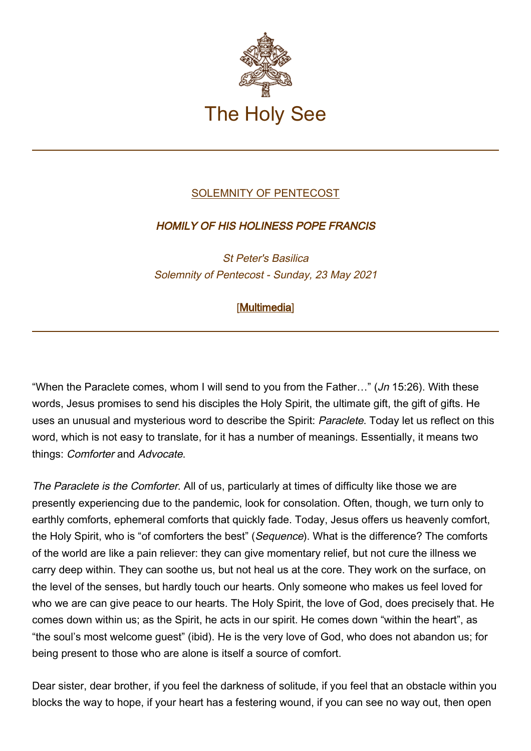

## [SOLEMNITY OF PENTECOST](http://www.vatican.va/news_services/liturgy/libretti/2021/20210523-libretto-pentecoste.pdf)

## HOMILY OF HIS HOLINESS POPE FRANCIS

St Peter's Basilica Solemnity of Pentecost - Sunday, 23 May 2021

## [\[Multimedia](http://w2.vatican.va/content/francesco/en/events/event.dir.html/content/vaticanevents/en/2021/5/23/pentecoste.html)]

"When the Paraclete comes, whom I will send to you from the Father…" (Jn 15:26). With these words, Jesus promises to send his disciples the Holy Spirit, the ultimate gift, the gift of gifts. He uses an unusual and mysterious word to describe the Spirit: Paraclete. Today let us reflect on this word, which is not easy to translate, for it has a number of meanings. Essentially, it means two things: Comforter and Advocate.

The Paraclete is the Comforter. All of us, particularly at times of difficulty like those we are presently experiencing due to the pandemic, look for consolation. Often, though, we turn only to earthly comforts, ephemeral comforts that quickly fade. Today, Jesus offers us heavenly comfort, the Holy Spirit, who is "of comforters the best" (Sequence). What is the difference? The comforts of the world are like a pain reliever: they can give momentary relief, but not cure the illness we carry deep within. They can soothe us, but not heal us at the core. They work on the surface, on the level of the senses, but hardly touch our hearts. Only someone who makes us feel loved for who we are can give peace to our hearts. The Holy Spirit, the love of God, does precisely that. He comes down within us; as the Spirit, he acts in our spirit. He comes down "within the heart", as "the soul's most welcome guest" (ibid). He is the very love of God, who does not abandon us; for being present to those who are alone is itself a source of comfort.

Dear sister, dear brother, if you feel the darkness of solitude, if you feel that an obstacle within you blocks the way to hope, if your heart has a festering wound, if you can see no way out, then open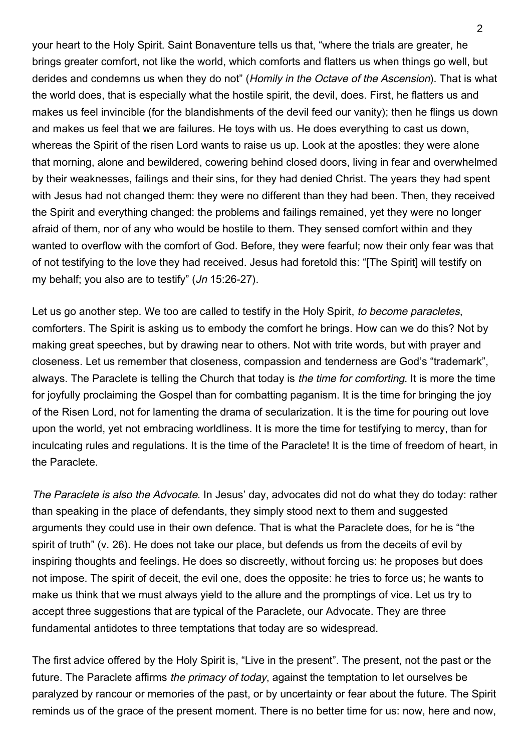your heart to the Holy Spirit. Saint Bonaventure tells us that, "where the trials are greater, he brings greater comfort, not like the world, which comforts and flatters us when things go well, but derides and condemns us when they do not" (Homily in the Octave of the Ascension). That is what the world does, that is especially what the hostile spirit, the devil, does. First, he flatters us and makes us feel invincible (for the blandishments of the devil feed our vanity); then he flings us down and makes us feel that we are failures. He toys with us. He does everything to cast us down, whereas the Spirit of the risen Lord wants to raise us up. Look at the apostles: they were alone that morning, alone and bewildered, cowering behind closed doors, living in fear and overwhelmed by their weaknesses, failings and their sins, for they had denied Christ. The years they had spent with Jesus had not changed them: they were no different than they had been. Then, they received the Spirit and everything changed: the problems and failings remained, yet they were no longer afraid of them, nor of any who would be hostile to them. They sensed comfort within and they wanted to overflow with the comfort of God. Before, they were fearful; now their only fear was that of not testifying to the love they had received. Jesus had foretold this: "[The Spirit] will testify on my behalf; you also are to testify" (Jn 15:26-27).

Let us go another step. We too are called to testify in the Holy Spirit, to become paracletes, comforters. The Spirit is asking us to embody the comfort he brings. How can we do this? Not by making great speeches, but by drawing near to others. Not with trite words, but with prayer and closeness. Let us remember that closeness, compassion and tenderness are God's "trademark", always. The Paraclete is telling the Church that today is the time for comforting. It is more the time for joyfully proclaiming the Gospel than for combatting paganism. It is the time for bringing the joy of the Risen Lord, not for lamenting the drama of secularization. It is the time for pouring out love upon the world, yet not embracing worldliness. It is more the time for testifying to mercy, than for inculcating rules and regulations. It is the time of the Paraclete! It is the time of freedom of heart, in the Paraclete.

The Paraclete is also the Advocate. In Jesus' day, advocates did not do what they do today: rather than speaking in the place of defendants, they simply stood next to them and suggested arguments they could use in their own defence. That is what the Paraclete does, for he is "the spirit of truth" (v. 26). He does not take our place, but defends us from the deceits of evil by inspiring thoughts and feelings. He does so discreetly, without forcing us: he proposes but does not impose. The spirit of deceit, the evil one, does the opposite: he tries to force us; he wants to make us think that we must always yield to the allure and the promptings of vice. Let us try to accept three suggestions that are typical of the Paraclete, our Advocate. They are three fundamental antidotes to three temptations that today are so widespread.

The first advice offered by the Holy Spirit is, "Live in the present". The present, not the past or the future. The Paraclete affirms the primacy of today, against the temptation to let ourselves be paralyzed by rancour or memories of the past, or by uncertainty or fear about the future. The Spirit reminds us of the grace of the present moment. There is no better time for us: now, here and now,